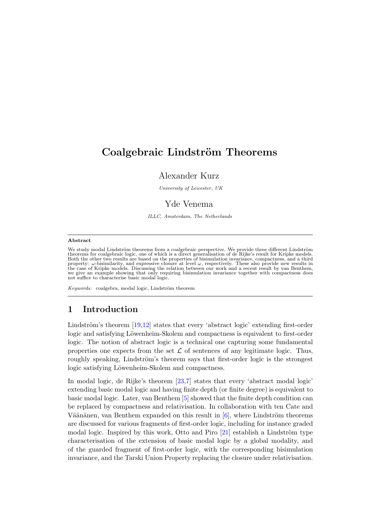# Coalgebraic Lindström Theorems

### Alexander Kurz

University of Leicester, UK

## Yde Venema

ILLC, Amsterdam, The Netherlands

#### Abstract

We study modal Lindström theorems from a coalgebraic perspective. We provide three different Lindström theorems for coalgebraic logic, one of which is a direct generalisation of de Rijke's result for Kripke models.<br>Both the other two results are based on the properties of bisimulation invariance, compactness, and a third<br>p not suffice to characterise basic modal logic.

Keywords: coalgebra, modal logic, Lindström theorem

## 1 Introduction

Lindström's theorem  $[19,12]$  $[19,12]$  states that every 'abstract logic' extending first-order logic and satisfying Löwenheim-Skolem and compactness is equivalent to first-order logic. The notion of abstract logic is a technical one capturing some fundamental properties one expects from the set  $\mathcal L$  of sentences of any legitimate logic. Thus, roughly speaking, Lindström's theorem says that first-order logic is the strongest logic satisfying Löwenheim-Skolem and compactness.

In modal logic, de Rijke's theorem [\[23](#page-16-2)[,7\]](#page-16-3) states that every 'abstract modal logic' extending basic modal logic and having finite depth (or finite degree) is equivalent to basic modal logic. Later, van Benthem [\[5\]](#page-16-4) showed that the finite depth condition can be replaced by compactness and relativisation. In collaboration with ten Cate and Väänänen, van Benthem expanded on this result in  $[6]$ , where Lindström theorems are discussed for various fragments of first-order logic, including for instance graded modal logic. Inspired by this work, Otto and Piro  $[21]$  establish a Lindström type characterisation of the extension of basic modal logic by a global modality, and of the guarded fragment of first-order logic, with the corresponding bisimulation invariance, and the Tarski Union Property replacing the closure under relativisation.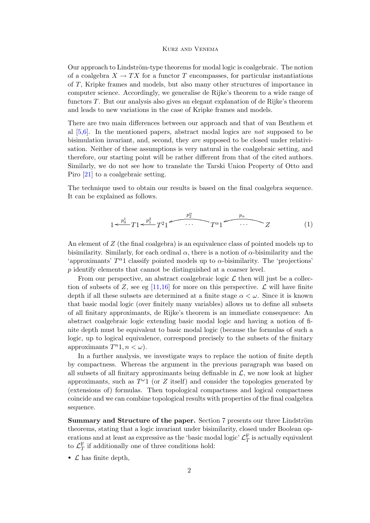Our approach to Lindström-type theorems for modal logic is coalgebraic. The notion of a coalgebra  $X \to TX$  for a functor T encompasses, for particular instantiations of T, Kripke frames and models, but also many other structures of importance in computer science. Accordingly, we generalise de Rijke's theorem to a wide range of functors T. But our analysis also gives an elegant explanation of de Rijke's theorem and leads to new variations in the case of Kripke frames and models.

There are two main differences between our approach and that of van Benthem et al  $[5,6]$  $[5,6]$ . In the mentioned papers, abstract modal logics are *not* supposed to be bisimulation invariant, and, second, they are supposed to be closed under relativisation. Neither of these assumptions is very natural in the coalgebraic setting, and therefore, our starting point will be rather different from that of the cited authors. Similarly, we do not see how to translate the Tarski Union Property of Otto and Piro [\[21\]](#page-16-6) to a coalgebraic setting.

The technique used to obtain our results is based on the final coalgebra sequence. It can be explained as follows.

$$
1 \leftarrow \frac{p_0^1}{T!} T! \leftarrow \frac{p_1^2}{T!} T^2! \leftarrow \cdots \leftarrow T^{\alpha} 1 \leftarrow \cdots \leftarrow Z \qquad (1)
$$

An element of Z (the final coalgebra) is an equivalence class of pointed models up to bisimilarity. Similarly, for each ordinal  $\alpha$ , there is a notion of  $\alpha$ -bisimilarity and the 'approximants'  $T^{\alpha}$ 1 classify pointed models up to  $\alpha$ -bisimilarity. The 'projections' p identify elements that cannot be distinguished at a coarser level.

From our perspective, an abstract coalgebraic logic  $\mathcal L$  then will just be a collec-tion of subsets of Z, see eg [\[11,](#page-16-7)[16\]](#page-16-8) for more on this perspective.  $\mathcal L$  will have finite depth if all these subsets are determined at a finite stage  $\alpha < \omega$ . Since it is known that basic modal logic (over finitely many variables) allows us to define all subsets of all finitary approximants, de Rijke's theorem is an immediate consequence: An abstract coalgebraic logic extending basic modal logic and having a notion of finite depth must be equivalent to basic modal logic (because the formulas of such a logic, up to logical equivalence, correspond precisely to the subsets of the finitary approximants  $T^n$ 1,  $n < \omega$ ).

In a further analysis, we investigate ways to replace the notion of finite depth by compactness. Whereas the argument in the previous paragraph was based on all subsets of all finitary approximants being definable in  $\mathcal{L}$ , we now look at higher approximants, such as  $T^{\omega_1}$  (or Z itself) and consider the topologies generated by (extensions of) formulas. Then topological compactness and logical compactness coincide and we can combine topological results with properties of the final coalgebra sequence.

Summary and Structure of the paper. Section 7 presents our three Lindström theorems, stating that a logic invariant under bisimilarity, closed under Boolean operations and at least as expressive as the 'basic modal logic'  $\mathcal{L}_T^{\rm F}$  is actually equivalent to  $\mathcal{L}_T^{\rm F}$  if additionally one of three conditions hold:

•  $\mathcal L$  has finite depth,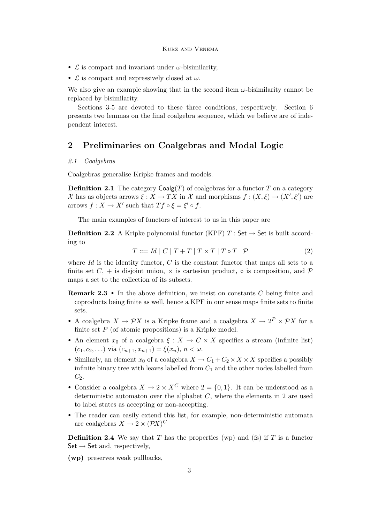- $\mathcal L$  is compact and invariant under  $\omega$ -bisimilarity,
- $\mathcal L$  is compact and expressively closed at  $\omega$ .

We also give an example showing that in the second item  $\omega$ -bisimilarity cannot be replaced by bisimilarity.

Sections 3-5 are devoted to these three conditions, respectively. Section 6 presents two lemmas on the final coalgebra sequence, which we believe are of independent interest.

## 2 Preliminaries on Coalgebras and Modal Logic

### 2.1 Coalgebras

Coalgebras generalise Kripke frames and models.

**Definition 2.1** The category  $\text{Coalg}(T)$  of coalgebras for a functor T on a category X has as objects arrows  $\xi: X \to TX$  in X and morphisms  $f: (X, \xi) \to (X', \xi')$  are arrows  $f: X \to X'$  such that  $Tf \circ \xi = \xi' \circ f$ .

The main examples of functors of interest to us in this paper are

<span id="page-2-0"></span>**Definition 2.2** A Kripke polynomial functor (KPF)  $T : Set \rightarrow Set$  is built according to

$$
T ::= Id \mid C \mid T + T \mid T \times T \mid T \circ T \mid \mathcal{P}
$$
\n<sup>(2)</sup>

where  $Id$  is the identity functor,  $C$  is the constant functor that maps all sets to a finite set  $C_+$  is disjoint union,  $\times$  is cartesian product,  $\circ$  is composition, and  $\mathcal P$ maps a set to the collection of its subsets.

- Remark 2.3 In the above definition, we insist on constants C being finite and coproducts being finite as well, hence a KPF in our sense maps finite sets to finite sets.
- A coalgebra  $X \to \mathcal{P}X$  is a Kripke frame and a coalgebra  $X \to 2^P \times \mathcal{P}X$  for a finite set  $P$  (of atomic propositions) is a Kripke model.
- An element  $x_0$  of a coalgebra  $\xi: X \to C \times X$  specifies a stream (infinite list)  $(c_1, c_2, \ldots)$  via  $(c_{n+1}, x_{n+1}) = \xi(x_n), n < \omega$ .
- Similarly, an element  $x_0$  of a coalgebra  $X \to C_1 + C_2 \times X \times X$  specifies a possibly infinite binary tree with leaves labelled from  $C_1$  and the other nodes labelled from  $C_2$ .
- Consider a coalgebra  $X \to 2 \times X^C$  where  $2 = \{0, 1\}$ . It can be understood as a deterministic automaton over the alphabet  $C$ , where the elements in 2 are used to label states as accepting or non-accepting.
- The reader can easily extend this list, for example, non-deterministic automata are coalgebras  $X \to 2 \times (\mathcal{P}X)^C$

**Definition 2.4** We say that T has the properties (wp) and (fs) if T is a functor  $Set \rightarrow Set$  and, respectively,

(wp) preserves weak pullbacks,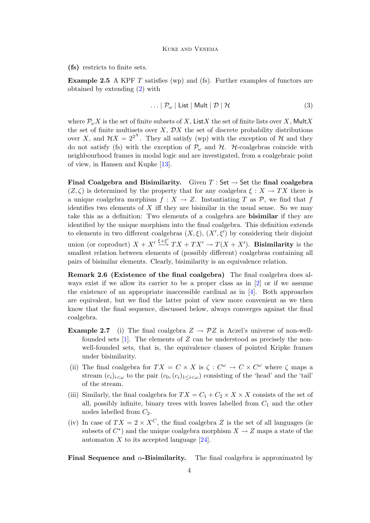(fs) restricts to finite sets.

**Example 2.5** A KPF  $T$  satisfies (wp) and (fs). Further examples of functors are obtained by extending [\(2\)](#page-2-0) with

<span id="page-3-0"></span>
$$
\ldots | P_{\omega} | List | Mult | D | H \tag{3}
$$

where  $\mathcal{P}_{\omega}X$  is the set of finite subsets of X, List X the set of finite lists over X, Mult X the set of finite multisets over  $X$ ,  $\mathcal{D}X$  the set of discrete probability distributions over X, and  $\mathcal{H}X = 2^{2^X}$ . They all satisfy (wp) with the exception of  $\mathcal H$  and they do not satisfy (fs) with the exception of  $\mathcal{P}_{\omega}$  and  $\mathcal{H}$ . H-coalgebras coincide with neighbourhood frames in modal logic and are investigated, from a coalgebraic point of view, in Hansen and Kupke [\[13\]](#page-16-9).

Final Coalgebra and Bisimilarity. Given  $T : Set \rightarrow Set$  the final coalgebra  $(Z, \zeta)$  is determined by the property that for any coalgebra  $\xi : X \to TX$  there is a unique coalgebra morphism  $f : X \to Z$ . Instantiating T as P, we find that f identifies two elements of  $X$  iff they are bisimilar in the usual sense. So we may take this as a definition: Two elements of a coalgebra are bisimilar if they are identified by the unique morphism into the final coalgebra. This definition extends to elements in two different coalgebras  $(X, \xi)$ ,  $(X', \xi')$  by considering their disjoint union (or coproduct)  $X + X' \stackrel{\xi+\xi'}{\longrightarrow} TX + TX' \rightarrow T(X + X')$ . **Bisimilarity** is the smallest relation between elements of (possibly different) coalgebras containing all pairs of bisimilar elements. Clearly, bisimilarity is an equivalence relation.

Remark 2.6 (Existence of the final coalgebra) The final coalgebra does always exist if we allow its carrier to be a proper class as in [\[2\]](#page-16-10) or if we assume the existence of an appropriate inaccessible cardinal as in [\[4\]](#page-16-11). Both approaches are equivalent, but we find the latter point of view more convenient as we then know that the final sequence, discussed below, always converges against the final coalgebra.

- **Example 2.7** (i) The final coalgebra  $Z \rightarrow \mathcal{P}Z$  is Aczel's universe of non-wellfounded sets  $[1]$ . The elements of Z can be understood as precisely the nonwell-founded sets, that is, the equivalence classes of pointed Kripke frames under bisimilarity.
- (ii) The final coalgebra for  $TX = C \times X$  is  $\zeta: C^{\omega} \to C \times C^{\omega}$  where  $\zeta$  maps a stream  $(c_i)_{i\lt\omega}$  to the pair  $(c_0, (c_i)_{1\lt i\lt\omega})$  consisting of the 'head' and the 'tail' of the stream.
- (iii) Similarly, the final coalgebra for  $TX = C_1 + C_2 \times X \times X$  consists of the set of all, possibly infinite, binary trees with leaves labelled from  $C_1$  and the other nodes labelled from  $C_2$ .
- (iv) In case of  $TX = 2 \times X^C$ , the final coalgebra Z is the set of all languages (ie subsets of  $C^*$ ) and the unique coalgebra morphism  $X \to Z$  maps a state of the automaton  $X$  to its accepted language [\[24\]](#page-16-12).

Final Sequence and  $\alpha$ -Bisimilarity. The final coalgebra is approximated by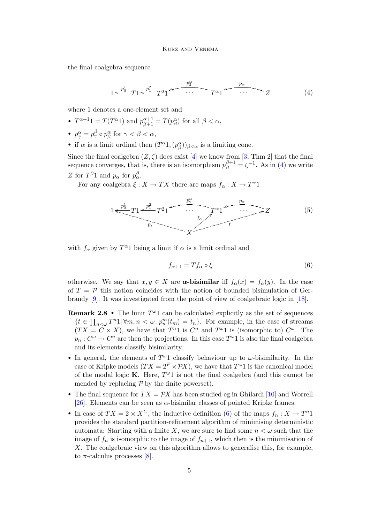the final coalgebra sequence

<span id="page-4-0"></span>
$$
1 \leftarrow \frac{p_0^1}{T} T 1 \leftarrow \frac{p_1^2}{T} T^2 1 \leftarrow \cdots \leftarrow T^{\alpha} 1 \leftarrow \cdots \leftarrow Z \tag{4}
$$

where 1 denotes a one-element set and

- $T^{\alpha+1}1 = T(T^{\alpha}1)$  and  $p_{\beta+1}^{\alpha+1} = T(p_{\beta}^{\alpha})$  for all  $\beta < \alpha$ ,
- $p^{\alpha}_{\gamma} = p^{\beta}_{\gamma} \circ p^{\alpha}_{\beta}$  for  $\gamma < \beta < \alpha$ ,
- if  $\alpha$  is a limit ordinal then  $(T^{\alpha}1,(p^{\alpha}_{\beta}))_{\beta<\alpha}$  is a limiting cone.

Since the final coalgebra  $(Z, \zeta)$  does exist [\[4\]](#page-16-11) we know from [\[3,](#page-16-13) Thm 2] that the final sequence converges, that is, there is an isomorphism  $p_{\beta}^{\beta+1} = \zeta^{-1}$ . As in [\(4\)](#page-4-0) we write Z for  $T^{\beta}1$  and  $p_{\alpha}$  for  $p_{\alpha}^{\beta}$ .

For any coalgebra  $\xi: X \to TX$  there are maps  $f_{\alpha}: X \to T^{\alpha}1$ 

$$
1 \leq \frac{p_0^1}{f_0} T 1 \leq \frac{p_1^2}{f_0} T^2 1 \leq \frac{p_2}{f_0} \leq \frac{p_0}{f_0} \leq \frac{p_0}{f_0} \leq \frac{p_0}{f_0} \tag{5}
$$

with  $f_{\alpha}$  given by  $T^{\alpha}1$  being a limit if  $\alpha$  is a limit ordinal and

<span id="page-4-2"></span><span id="page-4-1"></span>
$$
f_{\alpha+1} = Tf_{\alpha} \circ \xi \tag{6}
$$

otherwise. We say that  $x, y \in X$  are  $\alpha$ **-bisimilar** iff  $f_{\alpha}(x) = f_{\alpha}(y)$ . In the case of  $T = \mathcal{P}$  this notion coincides with the notion of bounded bisimulation of Gerbrandy [\[9\]](#page-16-14). It was investigated from the point of view of coalgebraic logic in [\[18\]](#page-16-15).

- **Remark 2.8** The limit  $T^{\omega}1$  can be calculated explicitly as the set of sequences  $\{t \in \prod_{n<\omega} T^n 1 | \forall m,n < \omega \cdot p_n^m(t_m) = t_n\}.$  For example, in the case of streams  $(TX = C \times X)$ , we have that  $T^{n_1}$  is  $C^n$  and  $T^{\omega_1}$  is (isomorphic to)  $C^{\omega}$ . The  $p_n: C^{\omega} \to C^n$  are then the projections. In this case  $T^{\omega}1$  is also the final coalgebra and its elements classify bisimilarity.
- In general, the elements of  $T^{\omega_1}$  classify behaviour up to  $\omega$ -bisimilarity. In the case of Kripke models  $(TX = 2^P \times \mathcal{P}X)$ , we have that  $T^{\omega}1$  is the canonical model of the modal logic **K**. Here,  $T^{\omega}1$  is not the final coalgebra (and this cannot be mended by replacing  $P$  by the finite powerset).
- The final sequence for  $TX = \mathcal{P}X$  has been studied eg in Ghilardi [\[10\]](#page-16-16) and Worrell [\[26\]](#page-16-17). Elements can be seen as  $\alpha$ -bisimilar classes of pointed Kripke frames.
- In case of  $TX = 2 \times X^C$ , the inductive definition [\(6\)](#page-4-1) of the maps  $f_n : X \to T^n 1$ provides the standard partition-refinement algorithm of minimising deterministic automata: Starting with a finite X, we are sure to find some  $n < \omega$  such that the image of  $f_n$  is isomorphic to the image of  $f_{n+1}$ , which then is the minimisation of X. The coalgebraic view on this algorithm allows to generalise this, for example, to  $\pi$ -calculus processes [\[8\]](#page-16-18).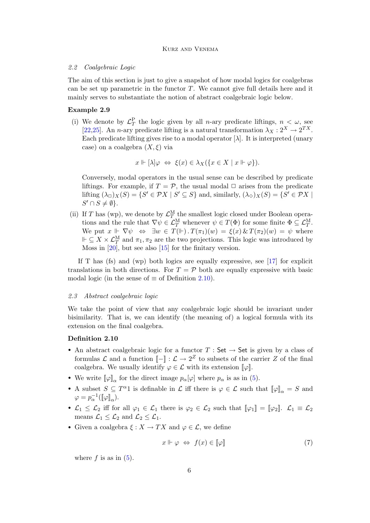#### 2.2 Coalgebraic Logic

The aim of this section is just to give a snapshot of how modal logics for coalgebras can be set up parametric in the functor  $T$ . We cannot give full details here and it mainly serves to substantiate the notion of abstract coalgebraic logic below.

### <span id="page-5-2"></span>Example 2.9

(i) We denote by  $\mathcal{L}_T^{\text{P}}$  the logic given by all *n*-ary predicate liftings,  $n < \omega$ , see [\[22](#page-16-19)[,25\]](#page-16-20). An *n*-ary predicate lifting is a natural transformation  $\lambda_X : 2^X \to 2^{TX}$ . Each predicate lifting gives rise to a modal operator  $[\lambda]$ . It is interpreted (unary case) on a coalgebra  $(X, \xi)$  via

$$
x \Vdash [\lambda] \varphi \Leftrightarrow \xi(x) \in \lambda_X(\{x \in X \mid x \Vdash \varphi\}).
$$

Conversely, modal operators in the usual sense can be described by predicate liftings. For example, if  $T = \mathcal{P}$ , the usual modal  $\Box$  arises from the predicate lifting  $(\lambda_{\Box})_X(S) = \{S' \in \mathcal{P}X \mid S' \subseteq S\}$  and, similarly,  $(\lambda_{\Diamond})_X(S) = \{S' \in \mathcal{P}X \mid S' \subseteq S\}$  $S' \cap S \neq \emptyset$ .

(ii) If T has (wp), we denote by  $\mathcal{L}_T^{\text{M}}$  the smallest logic closed under Boolean operations and the rule that  $\nabla \psi \in \mathcal{L}_T^M$  whenever  $\psi \in T(\Phi)$  for some finite  $\Phi \subseteq \mathcal{L}_T^M$ . We put  $x \Vdash \nabla \psi \Leftrightarrow \exists w \in T(\Vdash) . T(\pi_1)(w) = \xi(x) \& T(\pi_2)(w) = \psi$  where  $\Vdash \subseteq X \times \mathcal{L}_T^M$  and  $\pi_1, \pi_2$  are the two projections. This logic was introduced by Moss in [\[20\]](#page-16-21), but see also [\[15\]](#page-16-22) for the finitary version.

If T has (fs) and (wp) both logics are equally expressive, see  $[17]$  for explicit translations in both directions. For  $T = \mathcal{P}$  both are equally expressive with basic modal logic (in the sense of  $\equiv$  of Definition [2.10\)](#page-5-0).

### 2.3 Abstract coalgebraic logic

We take the point of view that any coalgebraic logic should be invariant under bisimilarity. That is, we can identify (the meaning of) a logical formula with its extension on the final coalgebra.

### <span id="page-5-0"></span>Definition 2.10

- An abstract coalgebraic logic for a functor  $T : Set \rightarrow Set$  is given by a class of formulas L and a function  $[-] : \mathcal{L} \to 2^Z$  to subsets of the carrier Z of the final coalgebra. We usually identify  $\varphi \in \mathcal{L}$  with its extension  $\llbracket \varphi \rrbracket$ .
- We write  $[\![\varphi]\!]_{\alpha}$  for the direct image  $p_{\alpha}[\varphi]$  where  $p_{\alpha}$  is as in [\(5\)](#page-4-2).
- A subset  $S \subseteq T^{\alpha}1$  is definable in  $\mathcal L$  iff there is  $\varphi \in \mathcal L$  such that  $[\![\varphi]\!]_{\alpha} = S$  and  $\varphi = p_{\alpha}^{-1}([\![\varphi]\!]_{\alpha}).$
- $\mathcal{L}_1 \leq \mathcal{L}_2$  iff for all  $\varphi_1 \in \mathcal{L}_1$  there is  $\varphi_2 \in \mathcal{L}_2$  such that  $[\varphi_1] = [\varphi_2]$ .  $\mathcal{L}_1 \equiv \mathcal{L}_2$ means  $\mathcal{L}_1 \leq \mathcal{L}_2$  and  $\mathcal{L}_2 \leq \mathcal{L}_1$ .
- Given a coalgebra  $\xi: X \to TX$  and  $\varphi \in \mathcal{L}$ , we define

<span id="page-5-1"></span>
$$
x \Vdash \varphi \Leftrightarrow f(x) \in [\varphi] \tag{7}
$$

where  $f$  is as in  $(5)$ .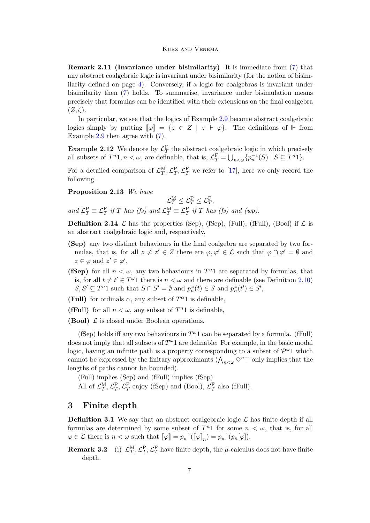**Remark 2.11 (Invariance under bisimilarity)** It is immediate from  $(7)$  that any abstract coalgebraic logic is invariant under bisimilarity (for the notion of bisimilarity defined on page [4\)](#page-3-0). Conversely, if a logic for coalgebras is invariant under bisimilarity then [\(7\)](#page-5-1) holds. To summarise, invariance under bisimulation means precisely that formulas can be identified with their extensions on the final coalgebra  $(Z,\zeta).$ 

In particular, we see that the logics of Example [2.9](#page-5-2) become abstract coalgebraic logics simply by putting  $[\![\varphi]\!] = \{z \in Z \mid z \Vdash \varphi\}.$  The definitions of  $\Vdash$  from Example [2.9](#page-5-2) then agree with [\(7\)](#page-5-1).

**Example 2.12** We denote by  $\mathcal{L}_T^{\text{F}}$  the abstract coalgebraic logic in which precisely all subsets of  $T^n 1, n < \omega$ , are definable, that is,  $\mathcal{L}_T^{\mathcal{F}} = \bigcup_{n < \omega} \{p_n^{-1}(S) \mid S \subseteq T^n 1\}.$ 

For a detailed comparison of  $\mathcal{L}_T^{\text{M}}, \mathcal{L}_T^{\text{P}}, \mathcal{L}_T^{\text{F}}$  we refer to [\[17\]](#page-16-23), here we only record the following.

Proposition 2.13 We have

 $\mathcal{L}^{\rm M}_T \leq \mathcal{L}^{\rm P}_T \leq \mathcal{L}^{\rm F}_T,$ and  $\mathcal{L}_T^{\text{P}} \equiv \mathcal{L}_T^{\text{F}}$  if T has (fs) and  $\mathcal{L}_T^{\text{M}} \equiv \mathcal{L}_T^{\text{P}}$  if T has (fs) and (wp).

**Definition 2.14**  $\mathcal L$  has the properties (Sep), (fSep), (Full), (Full), (Bool) if  $\mathcal L$  is an abstract coalgebraic logic and, respectively,

- (Sep) any two distinct behaviours in the final coalgebra are separated by two formulas, that is, for all  $z \neq z' \in Z$  there are  $\varphi, \varphi' \in \mathcal{L}$  such that  $\varphi \cap \varphi' = \emptyset$  and  $z \in \varphi$  and  $z' \in \varphi'$ ,
- (fSep) for all  $n < \omega$ , any two behaviours in  $T<sup>n</sup>1$  are separated by formulas, that is, for all  $t \neq t' \in T^{\omega}1$  there is  $n < \omega$  and there are definable (see Definition [2.10\)](#page-5-0)  $S, S' \subseteq T^n 1$  such that  $S \cap S' = \emptyset$  and  $p_n^{\omega}(t) \in S$  and  $p_n^{\omega}(t') \in S'$ ,
- (Full) for ordinals  $\alpha$ , any subset of  $T^{\alpha}$ 1 is definable,
- (fFull) for all  $n < \omega$ , any subset of  $T^n1$  is definable,

**(Bool)**  $\mathcal{L}$  is closed under Boolean operations.

(fSep) holds iff any two behaviours in  $T^{\omega}1$  can be separated by a formula. (fFull) does not imply that all subsets of  $T^{\omega}1$  are definable: For example, in the basic modal logic, having an infinite path is a property corresponding to a subset of  $\mathcal{P}^{\omega_1}$  which cannot be expressed by the finitary approximants  $(\bigwedge_{n<\omega}\Diamond^n\top)$  only implies that the lengths of paths cannot be bounded).

(Full) implies (Sep) and (fFull) implies (fSep).

All of  $\mathcal{L}_T^{\text{M}}, \mathcal{L}_T^{\text{P}}, \mathcal{L}_T^{\text{F}}$  enjoy (fSep) and (Bool),  $\mathcal{L}_T^{\text{F}}$  also (fFull).

### 3 Finite depth

**Definition 3.1** We say that an abstract coalgebraic logic  $\mathcal{L}$  has finite depth if all formulas are determined by some subset of  $T<sup>n</sup>1$  for some  $n < \omega$ , that is, for all  $\varphi \in \mathcal{L}$  there is  $n < \omega$  such that  $[\![\varphi]\!] = p_n^{-1}([\![\varphi]\!]_n) = p_n^{-1}(p_n[\varphi]).$ 

**Remark 3.2** (i)  $\mathcal{L}_T^{\text{M}}, \mathcal{L}_T^{\text{P}}, \mathcal{L}_T^{\text{F}}$  have finite depth, the  $\mu$ -calculus does not have finite depth.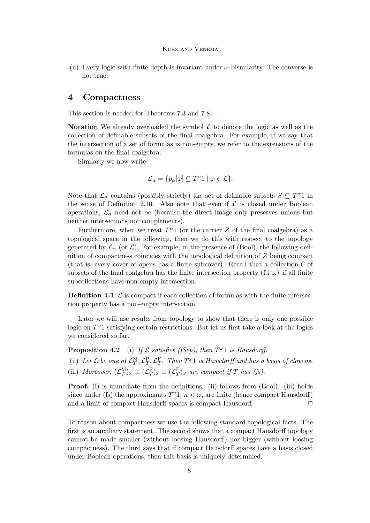(ii) Every logic with finite depth is invariant under  $\omega$ -bismilarity. The converse is not true.

## 4 Compactness

This section is needed for Theorems [7.3](#page-12-0) and [7.8.](#page-14-0)

**Notation** We already overloaded the symbol  $\mathcal{L}$  to denote the logic as well as the collection of definable subsets of the final coalgebra. For example, if we say that the intersection of a set of formulas is non-empty, we refer to the extensions of the formulas on the final coalgebra.

Similarly we now write

$$
\mathcal{L}_{\alpha} = \{ p_{\alpha}[\varphi] \subseteq T^{\alpha}1 \mid \varphi \in \mathcal{L} \}.
$$

Note that  $\mathcal{L}_{\alpha}$  contains (possibly strictly) the set of definable subsets  $S \subseteq T^{\alpha}1$  in the sense of Definition [2.10.](#page-5-0) Also note that even if  $\mathcal L$  is closed under Boolean operations,  $\mathcal{L}_{\alpha}$  need not be (because the direct image only preserves unions but neither intersections nor complements).

Furthermore, when we treat  $T^{\alpha}1$  (or the carrier Z of the final coalgebra) as a topological space in the following, then we do this with respect to the topology generated by  $\mathcal{L}_{\alpha}$  (or  $\mathcal{L}$ ). For example, in the presence of (Bool), the following definition of compactness coincides with the topological definition of Z being compact (that is, every cover of opens has a finite subcover). Recall that a collection  $\mathcal C$  of subsets of the final coalgebra has the finite intersection property (f.i.p.) if all finite subcollections have non-empty intersection.

**Definition 4.1**  $\mathcal{L}$  is compact if each collection of formulas with the finite intersection property has a non-empty intersection.

Later we will use results from topology to show that there is only one possible logic on  $T^{\omega}$ 1 satisfying certain restrictions. But let us first take a look at the logics we considered so far.

<span id="page-7-0"></span>**Proposition 4.2** (i) If  $\mathcal L$  satisfies (fSep), then  $T^{\omega}1$  is Hausdorff.

(ii) Let L be one of  $\mathcal{L}_T^{\text{M}}, \mathcal{L}_T^{\text{P}}, \mathcal{L}_T^{\text{F}}$ . Then  $T^{\omega}1$  is Hausdorff and has a basis of clopens.

(iii) Moreover,  $(\mathcal{L}_T^{\mathbf{M}})_{\omega} \equiv (\mathcal{L}_T^{\mathbf{P}})_{\omega} \equiv (\mathcal{L}_T^{\mathbf{F}})_{\omega}$  are compact if T has (fs).

**Proof.** (i) is immediate from the definitions. (ii) follows from (Bool). (iii) holds since under (fs) the approximants  $T^{n}1$ ,  $n < \omega$ , are finite (hence compact Hausdorff) and a limit of compact Hausdorff spaces is compact Hausdorff.  $\Box$ 

<span id="page-7-1"></span>To reason about compactness we use the following standard topological facts. The first is an auxiliary statement. The second shows that a compact Hausdorff topology cannot be made smaller (without loosing Hausdorff) nor bigger (without loosing compactness). The third says that if compact Hausdorff spaces have a basis closed under Boolean operations, then this basis is uniquely determined.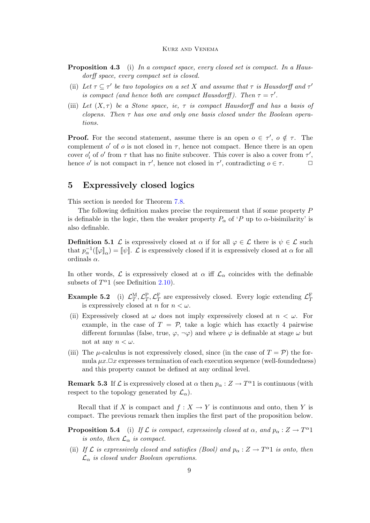- **Proposition 4.3** (i) In a compact space, every closed set is compact. In a Hausdorff space, every compact set is closed.
- (ii) Let  $\tau \subseteq \tau'$  be two topologies on a set X and assume that  $\tau$  is Hausdorff and  $\tau'$ is compact (and hence both are compact Hausdorff). Then  $\tau = \tau'$ .
- (iii) Let  $(X, \tau)$  be a Stone space, ie,  $\tau$  is compact Hausdorff and has a basis of clopens. Then  $\tau$  has one and only one basis closed under the Boolean operations.

**Proof.** For the second statement, assume there is an open  $o \in \tau'$ ,  $o \notin \tau$ . The complement  $o'$  of  $o$  is not closed in  $\tau$ , hence not compact. Hence there is an open cover  $o'_i$  of  $o'$  from  $\tau$  that has no finite subcover. This cover is also a cover from  $\tau'$ , hence o' is not compact in  $\tau'$ , hence not closed in  $\tau'$ , contradicting  $o \in \tau$ .

## 5 Expressively closed logics

This section is needed for Theorem [7.8.](#page-14-0)

The following definition makes precise the requirement that if some property P is definable in the logic, then the weaker property  $P_{\alpha}$  of 'P up to  $\alpha$ -bisimilarity' is also definable.

<span id="page-8-1"></span>**Definition 5.1** L is expressively closed at  $\alpha$  if for all  $\varphi \in \mathcal{L}$  there is  $\psi \in \mathcal{L}$  such that  $p_{\alpha}^{-1}(\llbracket \varphi \rrbracket_{\alpha}) = \llbracket \psi \rrbracket$ .  $\mathcal L$  is expressively closed if it is expressively closed at  $\alpha$  for all ordinals  $\alpha$ .

In other words,  $\mathcal L$  is expressively closed at  $\alpha$  iff  $\mathcal L_\alpha$  coincides with the definable subsets of  $T^{\alpha}1$  (see Definition [2.10\)](#page-5-0).

- **Example 5.2** (i)  $\mathcal{L}_T^{\text{M}}, \mathcal{L}_T^{\text{P}}, \mathcal{L}_T^{\text{F}}$  are expressively closed. Every logic extending  $\mathcal{L}_T^{\text{F}}$ is expressively closed at n for  $n < \omega$ .
- (ii) Expressively closed at  $\omega$  does not imply expressively closed at  $n < \omega$ . For example, in the case of  $T = P$ , take a logic which has exactly 4 pairwise different formulas (false, true,  $\varphi$ ,  $\neg \varphi$ ) and where  $\varphi$  is definable at stage  $\omega$  but not at any  $n < \omega$ .
- (iii) The  $\mu$ -calculus is not expressively closed, since (in the case of  $T = \mathcal{P}$ ) the formula  $\mu x.\Box x$  expresses termination of each execution sequence (well-foundedness) and this property cannot be defined at any ordinal level.

**Remark 5.3** If  $\mathcal{L}$  is expressively closed at  $\alpha$  then  $p_{\alpha}: Z \to T^{\alpha}1$  is continuous (with respect to the topology generated by  $\mathcal{L}_{\alpha}$ ).

Recall that if X is compact and  $f: X \to Y$  is continuous and onto, then Y is compact. The previous remark then implies the first part of the proposition below.

- <span id="page-8-0"></span>**Proposition 5.4** (i) If L is compact, expressively closed at  $\alpha$ , and  $p_{\alpha}: Z \to T^{\alpha}1$ is onto, then  $\mathcal{L}_{\alpha}$  is compact.
- (ii) If  $\mathcal L$  is expressively closed and satisfies (Bool) and  $p_\alpha: Z \to T^{\alpha}1$  is onto, then  $\mathcal{L}_{\alpha}$  is closed under Boolean operations.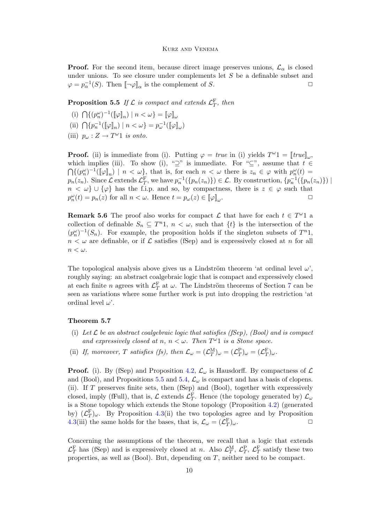**Proof.** For the second item, because direct image preserves unions,  $\mathcal{L}_{\alpha}$  is closed under unions. To see closure under complements let S be a definable subset and  $\varphi = p_{\alpha}^{-1}(S)$ . Then  $[\neg \varphi]_{\alpha}$  is the complement of S.

<span id="page-9-0"></span>**Proposition 5.5** If  $\mathcal{L}$  is compact and extends  $\mathcal{L}_T^{\text{F}}$ , then

- (i)  $\bigcap \{ (p_n^{\omega})^{-1} (\llbracket \varphi \rrbracket_n) \mid n < \omega \} = \llbracket \varphi \rrbracket_{\omega}$
- (ii)  $\bigcap \{p_n^{-1}(\llbracket \varphi \rrbracket_n) \mid n < \omega\} = p_{\omega}^{-1}(\llbracket \varphi \rrbracket_{\omega})$
- (iii)  $p_{\omega}: Z \to T^{\omega}1$  is onto.

**Proof.** (ii) is immediate from (i). Putting  $\varphi = \text{true}$  in (i) yields  $T^{\omega}1 = [\text{true}]_{\omega}$ , which implies (iii). To show (i), "⊇" is immediate. For "⊆", assume that  $t \in$  $\bigcap \{ (p_n^{\omega})^{-1}(\llbracket \varphi \rrbracket_n) \mid n < \omega \},\$  that is, for each  $n < \omega$  there is  $z_n \in \varphi$  with  $p_n^{\omega}(t) =$  $p_n(z_n)$ . Since  $\mathcal{L}$  extends  $\mathcal{L}_T^{\mathrm{F}}$ , we have  $p_n^{-1}(\{p_n(z_n)\}) \in \mathcal{L}$ . By construction,  $\{p_n^{-1}(\{p_n(z_n)\}) \mid$  $n < \omega$  ∪ { $\varphi$ } has the f.i.p. and so, by compactness, there is  $z \in \varphi$  such that  $p_n^{\omega}(t) = p_n(z)$  for all  $n < \omega$ . Hence  $t = p_{\omega}(z) \in [\![\varphi]\!]_{\omega}$ .  $\Box$ 

**Remark 5.6** The proof also works for compact  $\mathcal{L}$  that have for each  $t \in T^{\omega}1$  a collection of definable  $S_n \subseteq T^n$ 1,  $n < \omega$ , such that  $\{t\}$  is the intersection of the  $(p_n^{\omega})^{-1}(S_n)$ . For example, the proposition holds if the singleton subsets of  $T^n$ 1,  $n < \omega$  are definable, or if  $\mathcal L$  satisfies (fSep) and is expressively closed at n for all  $n < \omega$ .

The topological analysis above gives us a Lindström theorem 'at ordinal level  $\omega$ ', roughly saying: an abstract coalgebraic logic that is compact and expressively closed at each finite *n* agrees with  $\mathcal{L}_T^{\mathrm{F}}$  at  $\omega$ . The Lindström theorems of Section [7](#page-11-0) can be seen as variations where some further work is put into dropping the restriction 'at ordinal level  $\omega'$ .

### <span id="page-9-1"></span>Theorem 5.7

- (i) Let  $\mathcal L$  be an abstract coalgebraic logic that satisfies (fSep), (Bool) and is compact and expressively closed at n,  $n < \omega$ . Then  $T^{\omega}1$  is a Stone space.
- (ii) If, moreover, T satisfies (fs), then  $\mathcal{L}_{\omega} = (\mathcal{L}_T^{\mathrm{M}})_{\omega} = (\mathcal{L}_T^{\mathrm{P}})_{\omega} = (\mathcal{L}_T^{\mathrm{F}})_{\omega}$ .

**Proof.** (i). By (fSep) and Proposition [4.2,](#page-7-0)  $\mathcal{L}_{\omega}$  is Hausdorff. By compactness of  $\mathcal{L}$ and (Bool), and Propositions [5](#page-9-0).5 and [5.4,](#page-8-0)  $\mathcal{L}_{\omega}$  is compact and has a basis of clopens. (ii). If T preserves finite sets, then (fSep) and (Bool), together with expressively closed, imply (fFull), that is,  $\mathcal{L}$  extends  $\mathcal{L}_T^{\text{F}}$ . Hence (the topology generated by)  $\mathcal{L}_{\omega}$ is a Stone topology which extends the Stone topology (Proposition [4.2\)](#page-7-0) (generated by)  $(\mathcal{L}_T^{\mathbf{F}})_{\omega}$ . By Proposition [4.3\(](#page-7-1)ii) the two topologies agree and by Proposition [4.3\(](#page-7-1)iii) the same holds for the bases, that is,  $\mathcal{L}_{\omega} = (\mathcal{L}_T^F)$  $)_{\omega}.$ 

Concerning the assumptions of the theorem, we recall that a logic that extends  $\mathcal{L}_T^{\text{F}}$  has (fSep) and is expressively closed at n. Also  $\mathcal{L}_T^{\text{M}}$ ,  $\mathcal{L}_T^{\text{P}}$ ,  $\mathcal{L}_T^{\text{F}}$  satisfy these two properties, as well as  $(Bool)$ . But, depending on T, neither need to be compact.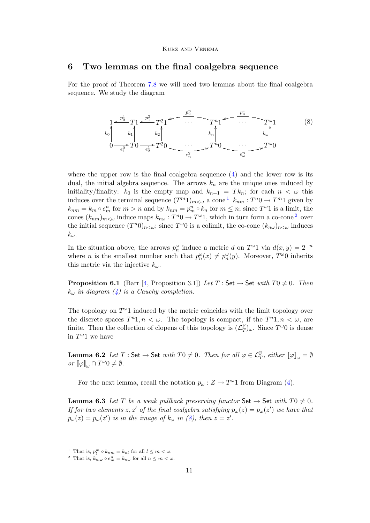### <span id="page-10-5"></span>6 Two lemmas on the final coalgebra sequence

For the proof of Theorem [7.8](#page-14-0) we will need two lemmas about the final coalgebra sequence. We study the diagram

<span id="page-10-2"></span>

where the upper row is the final coalgebra sequence  $(4)$  and the lower row is its dual, the initial algebra sequence. The arrows  $k_n$  are the unique ones induced by initiality/finality:  $k_0$  is the empty map and  $k_{n+1} = T k_n$ ; for each  $n < \omega$  this induces over the terminal sequence  $(T^{m_1})_{m \lt \omega}$  $(T^{m_1})_{m \lt \omega}$  $(T^{m_1})_{m \lt \omega}$  a cone<sup>1</sup>  $k_{nm}: T^{n_0} \to T^{m_1}$  given by  $k_{nm} = k_m \circ e_m^n$  for  $m > n$  and by  $k_{nm} = p_m^n \circ k_n$  for  $m \leq n$ ; since  $T^{\omega}1$  is a limit, the cones  $(k_{nm})_{m \lt \omega}$  induce maps  $k_{n\omega}: T^{n} \to T^{\omega} 1$ , which in turn form a co-cone<sup>[2](#page-10-1)</sup> over the initial sequence  $(T^n 0)_{n \lt \omega}$ ; since  $T^\omega 0$  is a colimit, the co-cone  $(k_{n\omega})_{n \lt \omega}$  induces  $k_\omega$ .

In the situation above, the arrows  $p_n^{\omega}$  induce a metric d on  $T^{\omega}1$  via  $d(x, y) = 2^{-n}$ where *n* is the smallest number such that  $p_n^{\omega}(x) \neq p_n^{\omega}(y)$ . Moreover,  $T^{\omega}0$  inherits this metric via the injective  $k_{\omega}$ .

**Proposition 6.1** (Barr [\[4,](#page-16-11) Proposition 3.1]) Let T : Set  $\rightarrow$  Set with T0  $\neq$  0. Then  $k_{\omega}$  in diagram [\(4\)](#page-4-0) is a Cauchy completion.

The topology on  $T^{\omega}1$  induced by the metric coincides with the limit topology over the discrete spaces  $T^{n}1, n < \omega$ . The topology is compact, if the  $T^{n}1, n < \omega$ , are finite. Then the collection of clopens of this topology is  $(\mathcal{L}_T^{\mathcal{F}})_{\omega}$ . Since  $T^{\omega}0$  is dense in  $T^{\omega}1$  we have

<span id="page-10-4"></span>**Lemma 6.2** Let  $T:$  Set  $\to$  Set with  $T0 \neq 0$ . Then for all  $\varphi \in \mathcal{L}_T^F$ , either  $[\![\varphi]\!]_{\omega} = \emptyset$ or  $\llbracket \varphi \rrbracket_{\omega} \cap T^{\omega}0 \neq \emptyset$ .

For the next lemma, recall the notation  $p_{\omega}: Z \to T^{\omega}1$  from Diagram [\(4\)](#page-4-0).

<span id="page-10-3"></span>**Lemma 6.3** Let T be a weak pullback preserving functor Set  $\rightarrow$  Set with T0  $\neq$  0. If for two elements z, z' of the final coalgebra satisfying  $p_{\omega}(z) = p_{\omega}(z')$  we have that  $p_{\omega}(z) = p_{\omega}(z')$  is in the image of  $k_{\omega}$  in [\(8\)](#page-10-2), then  $z = z'$ .

<span id="page-10-0"></span><sup>&</sup>lt;sup>1</sup> That is,  $p_l^m \circ k_{nm} = k_{nl}$  for all  $l \leq m < \omega$ .

<span id="page-10-1"></span><sup>&</sup>lt;sup>2</sup> That is,  $k_{m\omega} \circ e_m^n = k_{n\omega}$  for all  $n \leq m < \omega$ .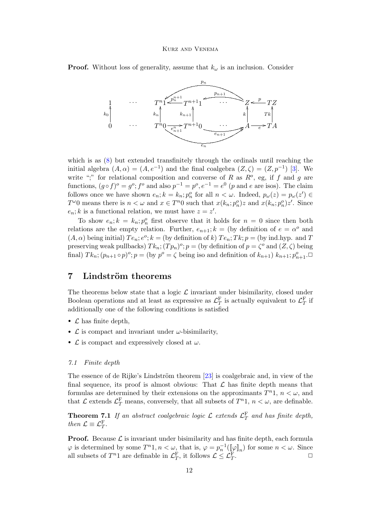**Proof.** Without loss of generality, assume that  $k_{\omega}$  is an inclusion. Consider



which is as [\(8\)](#page-10-2) but extended transfinitely through the ordinals until reaching the initial algebra  $(A, \alpha) = (A, e^{-1})$  and the final coalgebra  $(Z, \zeta) = (Z, p^{-1})$  [\[3\]](#page-16-13). We write ";" for relational composition and converse of R as  $R^o$ , eg, if f and g are functions,  $(g \circ f)^{\circ} = g^{\circ}$ ;  $f^{\circ}$  and also  $p^{-1} = p^{\circ}$ ,  $e^{-1} = e^{0}$  (p and e are isos). The claim follows once we have shown  $e_n$ ;  $k = k_n$ ;  $p_n^o$  for all  $n < \omega$ . Indeed,  $p_\omega(z) = p_\omega(z') \in$  $T^{\omega}0$  means there is  $n < \omega$  and  $x \in T^n0$  such that  $x(k_n; p_n^o)z$  and  $x(k_n; p_n^o)z'$ . Since  $e_n$ ; k is a functional relation, we must have  $z = z'$ .

To show  $e_n$ ;  $k = k_n$ ;  $p_n^o$  first observe that it holds for  $n = 0$  since then both relations are the empty relation. Further,  $e_{n+1}$ ;  $k =$  (by definition of  $e = \alpha^o$  and  $(A, \alpha)$  being initial)  $Te_n$ ;  $e^o$ ;  $k =$  (by definition of k)  $Te_n$ ;  $Tk$ ;  $p =$  (by ind.hyp. and T preserving weak pullbacks)  $Tk_n$ ;  $(Tp_n)^o$ ;  $p =$  (by definition of  $p = \zeta^o$  and  $(Z, \zeta)$  being final)  $Tk_n; (p_{n+1} \circ p)^o; p = (\text{by } p^o = \zeta \text{ being iso and definition of } k_{n+1}) k_{n+1}; p_{n+1}^o \Box$ 

## <span id="page-11-0"></span>7 Lindström theorems

The theorems below state that a logic  $\mathcal L$  invariant under bisimilarity, closed under Boolean operations and at least as expressive as  $\mathcal{L}_T^{\text{F}}$  is actually equivalent to  $\mathcal{L}_T^{\text{F}}$  if additionally one of the following conditions is satisfied

- $\mathcal L$  has finite depth,
- $\mathcal L$  is compact and invariant under  $\omega$ -bisimilarity,
- $\mathcal L$  is compact and expressively closed at  $\omega$ .

### 7.1 Finite depth

The essence of de Rijke's Lindström theorem  $[23]$  is coalgebraic and, in view of the final sequence, its proof is almost obvious: That  $\mathcal L$  has finite depth means that formulas are determined by their extensions on the approximants  $T^{n}1$ ,  $n < \omega$ , and that  $\mathcal{L}$  extends  $\mathcal{L}_T^{\text{F}}$  means, conversely, that all subsets of  $T^n$ 1,  $n < \omega$ , are definable.

<span id="page-11-1"></span>**Theorem 7.1** If an abstract coalgebraic logic  $\mathcal{L}$  extends  $\mathcal{L}_T^{\text{F}}$  and has finite depth, then  $\mathcal{L} \equiv \mathcal{L}_T^{\mathrm{F}}$ .

**Proof.** Because  $\mathcal{L}$  is invariant under bisimilarity and has finite depth, each formula  $\varphi$  is determined by some  $T^{n}1, n < \omega$ , that is,  $\varphi = p_n^{-1}(\llbracket \varphi \rrbracket_n)$  for some  $n < \omega$ . Since all subsets of  $T^n 1$  are definable in  $\mathcal{L}_T^{\text{F}}$ , it follows  $\mathcal{L} \leq \mathcal{L}_T^{\text{F}}$ . ✷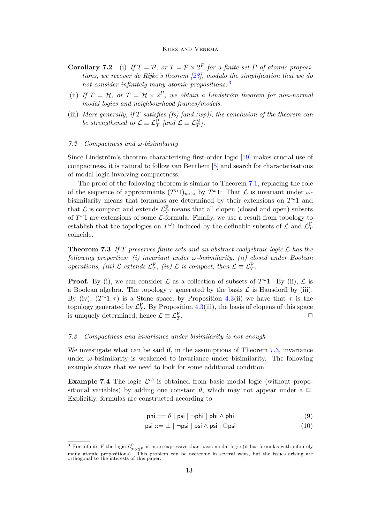- **Corollary 7.2** (i) If  $T = \mathcal{P}$ , or  $T = \mathcal{P} \times 2^P$  for a finite set P of atomic propositions, we recover de Rijke's theorem  $[23]$ , modulo the simplification that we do not consider infinitely many atomic propositions.<sup>[3](#page-12-1)</sup>
- (ii) If  $T = H$ , or  $T = H \times 2^P$ , we obtain a Lindström theorem for non-normal modal logics and neighbourhood frames/models.
- (iii) More generally, if T satisfies (fs) [and (wp)], the conclusion of the theorem can be strengthened to  $\mathcal{L} \equiv \mathcal{L}_T^{\rm P}$  [and  $\mathcal{L} \equiv \mathcal{L}_T^{\rm M}$ ].

#### 7.2 Compactness and  $\omega$ -bisimilarity

Since Lindström's theorem characterising first-order logic  $[19]$  makes crucial use of compactness, it is natural to follow van Benthem [\[5\]](#page-16-4) and search for characterisations of modal logic involving compactness.

The proof of the following theorem is similar to Theorem [7.1,](#page-11-1) replacing the role of the sequence of approximants  $(T^n 1)_{n<\omega}$  by  $T^{\omega}1$ : That  $\mathcal L$  is invariant under  $\omega$ bisimilarity means that formulas are determined by their extensions on  $T^{\omega}1$  and that  $\mathcal{L}$  is compact and extends  $\mathcal{L}_T^{\text{F}}$  means that all clopen (closed and open) subsets of  $T^{\omega}1$  are extensions of some  $\mathcal{L}$ -formula. Finally, we use a result from topology to establish that the topologies on  $T^{\omega}1$  induced by the definable subsets of  $\mathcal{L}$  and  $\mathcal{L}_T^{\mathrm{F}}$ coincide.

<span id="page-12-0"></span>**Theorem 7.3** If T preserves finite sets and an abstract coalgebraic logic  $\mathcal{L}$  has the following properties: (i) invariant under  $\omega$ -bisimilarity, (ii) closed under Boolean operations, (iii)  $\mathcal{L}$  extends  $\mathcal{L}_T^{\text{F}}$ , (iv)  $\mathcal{L}$  is compact, then  $\mathcal{L} \equiv \mathcal{L}_T^{\text{F}}$ .

**Proof.** By (i), we can consider  $\mathcal{L}$  as a collection of subsets of  $T^{\omega}$ 1. By (ii),  $\mathcal{L}$  is a Boolean algebra. The topology  $\tau$  generated by the basis  $\mathcal L$  is Hausdorff by (iii). By (iv),  $(T^{\omega_1}, \tau)$  is a Stone space, by Proposition [4.3\(](#page-7-1)ii) we have that  $\tau$  is the topology generated by  $\mathcal{L}_T^{\text{F}}$ . By Proposition [4.3\(](#page-7-1)iii), the basis of clopens of this space is uniquely determined, hence  $\mathcal{L} \equiv \mathcal{L}_T^{\rm F}$ .  $\Box$ 

### 7.3 Compactness and invariance under bisimilarity is not enough

We investigate what can be said if, in the assumptions of Theorem [7.3,](#page-12-0) invariance under  $\omega$ -bisimilarity is weakened to invariance under bisimilarity. The following example shows that we need to look for some additional condition.

<span id="page-12-3"></span>**Example 7.4** The logic  $\mathcal{L}^{cb}$  is obtained from basic modal logic (without propositional variables) by adding one constant  $\theta$ , which may not appear under a  $\Box$ . Explicitly, formulas are constructed according to

<span id="page-12-2"></span>
$$
\mathsf{phi} ::= \theta \mid \mathsf{psi} \mid \neg \mathsf{phi} \mid \mathsf{phi} \land \mathsf{phi} \tag{9}
$$

$$
psi ::= \bot \mid \neg psi \mid psi \land psi \mid \Box psi \tag{10}
$$

<span id="page-12-1"></span><sup>&</sup>lt;sup>3</sup> For infinite P the logic  $\mathcal{L}^{\text{F}}_{\mathcal{P}\times 2^P}$  is more expressive than basic modal logic (it has formulas with infinitely many atomic propositions). This problem can be overcome in several ways, but the issues arising are orthogonal to the interests of this paper.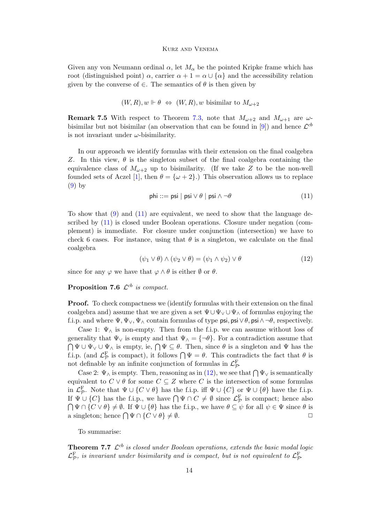Given any von Neumann ordinal  $\alpha$ , let  $M_{\alpha}$  be the pointed Kripke frame which has root (distinguished point)  $\alpha$ , carrier  $\alpha + 1 = \alpha \cup {\alpha}$  and the accessibility relation given by the converse of  $\in$ . The semantics of  $\theta$  is then given by

$$
(W, R), w \Vdash \theta \Leftrightarrow (W, R), w
$$
 bisimilar to  $M_{\omega+2}$ 

**Remark 7.5** With respect to Theorem [7.3,](#page-12-0) note that  $M_{\omega+2}$  and  $M_{\omega+1}$  are  $\omega$ -bisimilar but not bisimilar (an observation that can be found in [\[9\]](#page-16-14)) and hence  $\mathcal{L}^{cb}$ is not invariant under  $\omega$ -bisimilarity.

<span id="page-13-0"></span>In our approach we identify formulas with their extension on the final coalgebra Z. In this view,  $\theta$  is the singleton subset of the final coalgebra containing the equivalence class of  $M_{\omega+2}$  up to bisimilarity. (If we take Z to be the non-well founded sets of Aczel [\[1\]](#page-15-0), then  $\theta = {\omega + 2}$ .) This observation allows us to replace [\(9\)](#page-12-2) by

$$
\mathsf{phi} ::= \mathsf{psi} \mid \mathsf{psi} \lor \theta \mid \mathsf{psi} \land \neg \theta \tag{11}
$$

To show that [\(9\)](#page-12-2) and [\(11\)](#page-13-0) are equivalent, we need to show that the language described by [\(11\)](#page-13-0) is closed under Boolean operations. Closure under negation (complement) is immediate. For closure under conjunction (intersection) we have to check 6 cases. For instance, using that  $\theta$  is a singleton, we calculate on the final coalgebra

$$
(\psi_1 \lor \theta) \land (\psi_2 \lor \theta) = (\psi_1 \land \psi_2) \lor \theta \tag{12}
$$

<span id="page-13-1"></span>since for any  $\varphi$  we have that  $\varphi \wedge \theta$  is either  $\emptyset$  or  $\theta$ .

### **Proposition 7.6**  $\mathcal{L}^{cb}$  is compact.

Proof. To check compactness we (identify formulas with their extension on the final coalgebra and) assume that we are given a set  $\Psi \cup \Psi_{\vee} \cup \Psi_{\wedge}$  of formulas enjoying the f.i.p. and where  $\Psi, \Psi_{\vee}, \Psi_{\wedge}$  contain formulas of type psi, psi $\vee \theta$ , psi $\wedge \neg \theta$ , respectively.

Case 1:  $\Psi_{\wedge}$  is non-empty. Then from the f.i.p. we can assume without loss of generality that  $\Psi_{\vee}$  is empty and that  $\Psi_{\wedge} = {\neg \theta}$ . For a contradiction assume that  $\bigcap \Psi \cup \Psi_{\vee} \cup \Psi_{\wedge}$  is empty, ie,  $\bigcap \Psi \subseteq \theta$ . Then, since  $\theta$  is a singleton and  $\Psi$  has the f.i.p. (and  $\mathcal{L}_{\mathcal{P}}^{\text{F}}$  is compact), it follows  $\bigcap \Psi = \theta$ . This contradicts the fact that  $\theta$  is not definable by an infinite conjunction of formulas in  $\mathcal{L}_{\mathcal{P}}^{\text{F}}$ .

Case 2:  $\Psi_{\wedge}$  is empty. Then, reasoning as in [\(12\)](#page-13-1), we see that  $\bigcap \Psi_{\vee}$  is semantically equivalent to  $C \vee \theta$  for some  $C \subseteq Z$  where C is the intersection of some formulas in  $\mathcal{L}_{\mathcal{P}}^{\text{F}}$ . Note that  $\Psi \cup \{C \lor \theta\}$  has the f.i.p. iff  $\Psi \cup \{C\}$  or  $\Psi \cup \{\theta\}$  have the f.i.p. If  $\Psi \cup \{C\}$  has the f.i.p., we have  $\bigcap \Psi \cap C \neq \emptyset$  since  $\mathcal{L}_{\mathcal{P}}^{\mathcal{F}}$  is compact; hence also  $\bigcap \Psi \cap \{C \vee \theta\} \neq \emptyset$ . If  $\Psi \cup \{\theta\}$  has the f.i.p., we have  $\theta \subseteq \psi$  for all  $\psi \in \Psi$  since  $\theta$  is a singleton; hence  $\bigcap \Psi \cap \{C \vee \theta\} \neq \emptyset$ .

To summarise:

**Theorem 7.7**  $\mathcal{L}^{cb}$  is closed under Boolean operations, extends the basic modal logic  $\mathcal{L}_{\mathcal{P}}^{\text{F}}$ , is invariant under bisimilarity and is compact, but is not equivalent to  $\mathcal{L}_{\mathcal{P}}^{\text{F}}$ .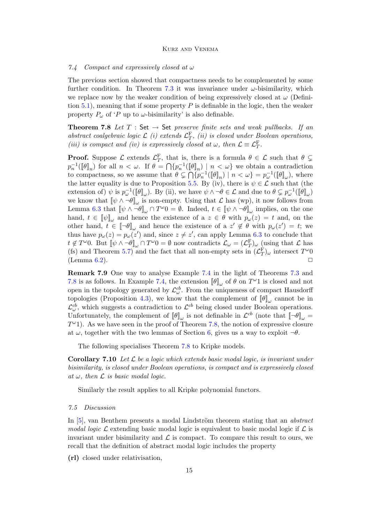#### 7.4 Compact and expressively closed at  $\omega$

The previous section showed that compactness needs to be complemented by some further condition. In Theorem [7.3](#page-12-0) it was invariance under  $\omega$ -bisimilarity, which we replace now by the weaker condition of being expressively closed at  $\omega$  (Defini-tion [5.1\)](#page-8-1), meaning that if some property  $P$  is definable in the logic, then the weaker property  $P_{\omega}$  of 'P up to  $\omega$ -bisimilarity' is also definable.

<span id="page-14-0"></span>**Theorem 7.8** Let  $T : Set \rightarrow Set$  preserve finite sets and weak pullbacks. If an abstract coalgebraic logic  $\mathcal{L}$  (i) extends  $\mathcal{L}_T^{\text{F}}$ , (ii) is closed under Boolean operations, (iii) is compact and (iv) is expressively closed at  $\omega$ , then  $\mathcal{L} \equiv \mathcal{L}_T^{\text{F}}$ .

**Proof.** Suppose  $\mathcal{L}$  extends  $\mathcal{L}_T^{\text{F}}$ , that is, there is a formula  $\theta \in \mathcal{L}$  such that  $\theta \subsetneq$  $p_n^{-1}(\llbracket \theta \rrbracket_n)$  for all  $n < \omega$ . If  $\theta = \bigcap \{p_n^{-1}(\llbracket \theta \rrbracket_n) \mid n < \omega\}$  we obtain a contradiction to compactness, so we assume that  $\theta \subsetneq \bigcap \{p_n^{-1}([\![\theta]\!]_n)| \mid n < \omega\} = p_{\omega}^{-1}([\![\theta]\!]_{\omega})$ , where the latter equality is due to Proposition [5.5.](#page-9-0) By (iv), there is  $\psi \in \mathcal{L}$  such that (the extension of)  $\psi$  is  $p_{\omega}^{-1}(\llbracket \theta \rrbracket_{\omega})$ . By (ii), we have  $\psi \wedge \neg \theta \in \mathcal{L}$  and due to  $\theta \subsetneq p_{\omega}^{-1}(\llbracket \theta \rrbracket_{\omega})$ we know that  $[\![\psi \wedge \neg \theta]\!]_{\omega}$  is non-empty. Using that  $\mathcal L$  has (wp), it now follows from Lemma [6.3](#page-10-3) that  $[\![\psi \wedge \neg \theta]\!]_{\omega} \cap T^{\omega}0 = \emptyset$ . Indeed,  $t \in [\![\psi \wedge \neg \theta]\!]_{\omega}$  implies, on the one hand,  $t \in [\![\psi]\!]_{\omega}$  and hence the existence of a  $z \in \theta$  with  $p_{\omega}(z) = t$  and, on the other hand,  $t \in [\![\neg \theta]\!]_{\omega}$  and hence the existence of a  $z' \notin \theta$  with  $p_{\omega}(z') = t$ ; we thus have  $p_{\omega}(z) = p_{\omega}(z')$  and, since  $z \neq z'$ , can apply Lemma [6.3](#page-10-3) to conclude that  $t \notin T^{\omega}0$ . But  $[\![\psi \wedge \neg \theta]\!]_{\omega} \cap T^{\omega}0 = \emptyset$  now contradicts  $\mathcal{L}_{\omega} = (\mathcal{L}_T^{\mathrm{F}})_{\omega}$  (using that  $\mathcal{L}$  has (fs) and Theorem [5.7\)](#page-9-1) and the fact that all non-empty sets in  $(\mathcal{L}_T^{\mathcal{F}})_{\omega}$  intersect  $T^{\omega}0$  $(Lemma 6.2)$  $(Lemma 6.2)$ .

Remark 7.9 One way to analyse Example [7.4](#page-12-3) in the light of Theorems [7.3](#page-12-0) and [7.8](#page-14-0) is as follows. In Example [7.4,](#page-12-3) the extension  $[\![\theta]\!]_{\omega}$  of  $\theta$  on  $T^{\omega}1$  is closed and not open in the topology generated by  $\mathcal{L}^{cb}_{\omega}$ . From the uniqueness of compact Hausdorff topologies (Proposition [4.3\)](#page-7-1), we know that the complement of  $[\![\theta]\!]_{\omega}$  cannot be in  $\mathcal{L}^{cb}_{\omega}$ , which suggests a contradiction to  $\mathcal{L}^{cb}$  being closed under Boolean operations. Unfortunately, the complement of  $[\![\theta]\!]_{\omega}$  is not definable in  $\mathcal{L}^{cb}$  (note that  $[\![\neg \theta]\!]_{\omega} =$  $T^{\omega}$ 1). As we have seen in the proof of Theorem [7.8,](#page-14-0) the notion of expressive closure at  $\omega$ , together with the two lemmas of Section [6,](#page-10-5) gives us a way to exploit  $\neg \theta$ .

The following specialises Theorem [7.8](#page-14-0) to Kripke models.

**Corollary 7.10** Let  $\mathcal{L}$  be a logic which extends basic modal logic, is invariant under bisimilarity, is closed under Boolean operations, is compact and is expressively closed at  $\omega$ , then  $\mathcal L$  is basic modal logic.

Similarly the result applies to all Kripke polynomial functors.

#### 7.5 Discussion

In  $[5]$ , van Benthem presents a modal Lindström theorem stating that an *abstract* modal logic  $\mathcal L$  extending basic modal logic is equivalent to basic modal logic if  $\mathcal L$  is invariant under bisimilarity and  $\mathcal L$  is compact. To compare this result to ours, we recall that the definition of abstract modal logic includes the property

(rl) closed under relativisation,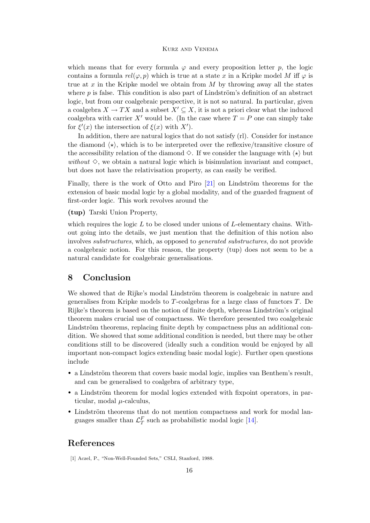which means that for every formula  $\varphi$  and every proposition letter p, the logic contains a formula  $rel(\varphi, p)$  which is true at a state x in a Kripke model M iff  $\varphi$  is true at x in the Kripke model we obtain from  $M$  by throwing away all the states where  $p$  is false. This condition is also part of Lindström's definition of an abstract logic, but from our coalgebraic perspective, it is not so natural. In particular, given a coalgebra  $X \to TX$  and a subset  $X' \subseteq X$ , it is not a priori clear what the induced coalgebra with carrier X' would be. (In the case where  $T = P$  one can simply take for  $\xi'(x)$  the intersection of  $\xi(x)$  with  $X'$ ).

In addition, there are natural logics that do not satisfy (rl). Consider for instance the diamond  $\langle \star \rangle$ , which is to be interpreted over the reflexive/transitive closure of the accessibility relation of the diamond  $\Diamond$ . If we consider the language with  $\langle \star \rangle$  but without  $\Diamond$ , we obtain a natural logic which is bisimulation invariant and compact, but does not have the relativisation property, as can easily be verified.

Finally, there is the work of Otto and Piro  $[21]$  on Lindström theorems for the extension of basic modal logic by a global modality, and of the guarded fragment of first-order logic. This work revolves around the

(tup) Tarski Union Property,

which requires the logic  $L$  to be closed under unions of  $L$ -elementary chains. Without going into the details, we just mention that the definition of this notion also involves substructures, which, as opposed to generated substructures, do not provide a coalgebraic notion. For this reason, the property (tup) does not seem to be a natural candidate for coalgebraic generalisations.

### 8 Conclusion

We showed that de Rijke's modal Lindström theorem is coalgebraic in nature and generalises from Kripke models to  $T$ -coalgebras for a large class of functors  $T$ . De Rijke's theorem is based on the notion of finite depth, whereas Lindström's original theorem makes crucial use of compactness. We therefore presented two coalgebraic Lindström theorems, replacing finite depth by compactness plus an additional condition. We showed that some additional condition is needed, but there may be other conditions still to be discovered (ideally such a condition would be enjoyed by all important non-compact logics extending basic modal logic). Further open questions include

- a Lindström theorem that covers basic modal logic, implies van Benthem's result, and can be generalised to coalgebra of arbitrary type,
- a Lindström theorem for modal logics extended with fixpoint operators, in particular, modal  $\mu$ -calculus,
- Lindström theorems that do not mention compactness and work for modal languages smaller than  $\mathcal{L}_T^F$  such as probabilistic modal logic [\[14\]](#page-16-24).

## References

<span id="page-15-0"></span>[1] Aczel, P., "Non-Well-Founded Sets," CSLI, Stanford, 1988.